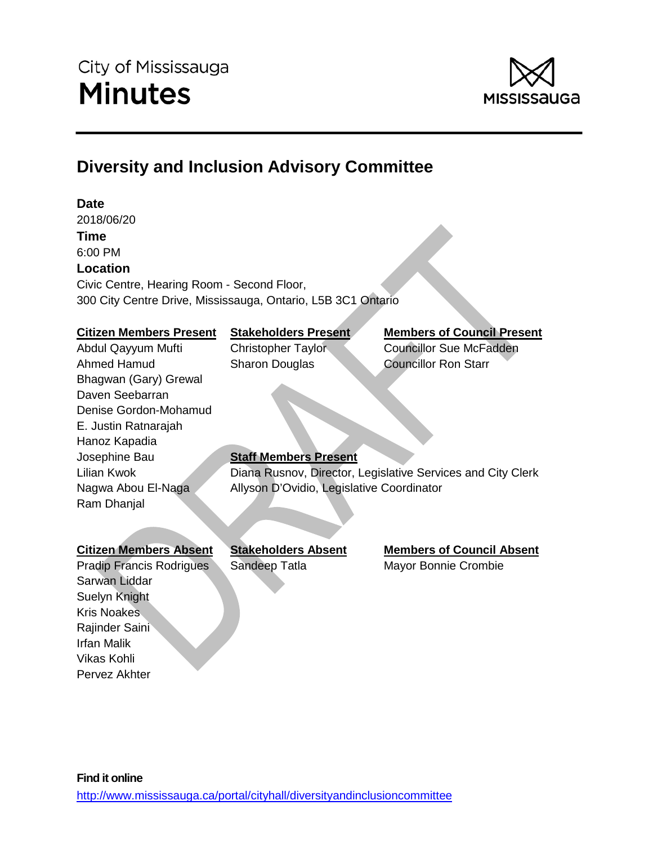

# **Diversity and Inclusion Advisory Committee**

# **Date**

2018/06/20 **Time** 6:00 PM **Location** Civic Centre, Hearing Room - Second Floor, 300 City Centre Drive, Mississauga, Ontario, L5B 3C1 Ontario

#### **Citizen Members Present Stakeholders Present Members of Council Present**

Abdul Qayyum Mufti Christopher Taylor Councillor Sue McFadden

# Ahmed Hamud Sharon Douglas Councillor Ron Starr Bhagwan (Gary) Grewal Daven Seebarran Denise Gordon-Mohamud E. Justin Ratnarajah Hanoz Kapadia Ram Dhanjal

# Josephine Bau **Staff Members Present**

Lilian Kwok Diana Rusnov, Director, Legislative Services and City Clerk Nagwa Abou El-Naga Allyson D'Ovidio, Legislative Coordinator

Irfan Malik Vikas Kohli Pervez Akhter

Pradip Francis Rodrigues Sandeep Tatla Mayor Bonnie Crombie Sarwan Liddar Suelyn Knight Kris Noakes Rajinder Saini

**Citizen Members Absent Stakeholders Absent Members of Council Absent**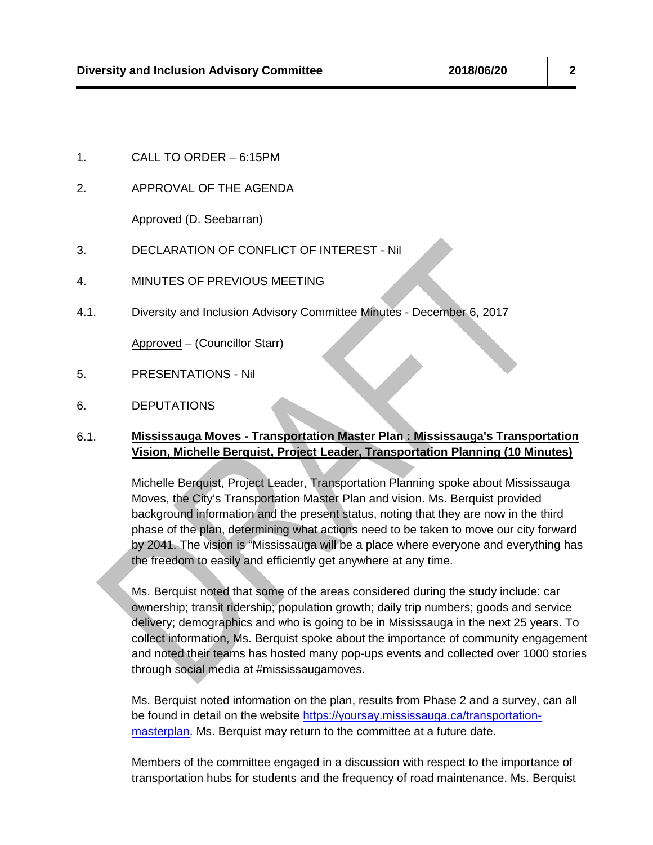2. APPROVAL OF THE AGENDA

Approved (D. Seebarran)

- 3. DECLARATION OF CONFLICT OF INTEREST Nil
- 4. MINUTES OF PREVIOUS MEETING
- 4.1. Diversity and Inclusion Advisory Committee Minutes December 6, 2017

Approved – (Councillor Starr)

- 5. PRESENTATIONS Nil
- 6. DEPUTATIONS

### 6.1. **Mississauga Moves - Transportation Master Plan : Mississauga's Transportation Vision, Michelle Berquist, Project Leader, Transportation Planning (10 Minutes)**

Michelle Berquist, Project Leader, Transportation Planning spoke about Mississauga Moves, the City's Transportation Master Plan and vision. Ms. Berquist provided background information and the present status, noting that they are now in the third phase of the plan, determining what actions need to be taken to move our city forward by 2041. The vision is "Mississauga will be a place where everyone and everything has the freedom to easily and efficiently get anywhere at any time.

Ms. Berquist noted that some of the areas considered during the study include: car ownership; transit ridership; population growth; daily trip numbers; goods and service delivery; demographics and who is going to be in Mississauga in the next 25 years. To collect information, Ms. Berquist spoke about the importance of community engagement and noted their teams has hosted many pop-ups events and collected over 1000 stories through social media at #mississaugamoves.

Ms. Berquist noted information on the plan, results from Phase 2 and a survey, can all be found in detail on the website [https://yoursay.mississauga.ca/transportation](https://yoursay.mississauga.ca/transportation-masterplan)[masterplan.](https://yoursay.mississauga.ca/transportation-masterplan) Ms. Berquist may return to the committee at a future date.

Members of the committee engaged in a discussion with respect to the importance of transportation hubs for students and the frequency of road maintenance. Ms. Berquist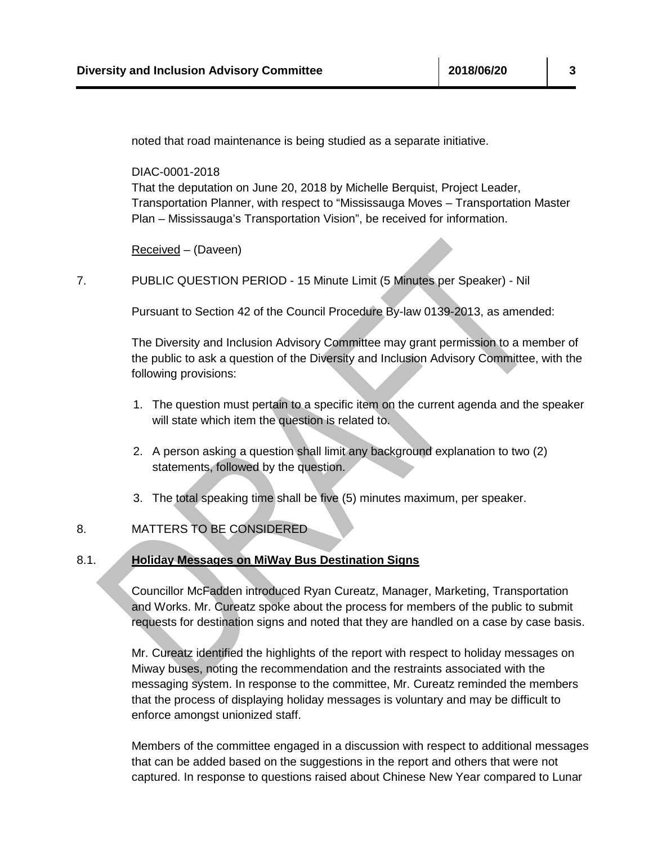noted that road maintenance is being studied as a separate initiative.

DIAC-0001-2018

That the deputation on June 20, 2018 by Michelle Berquist, Project Leader, Transportation Planner, with respect to "Mississauga Moves – Transportation Master Plan – Mississauga's Transportation Vision", be received for information.

Received – (Daveen)

7. PUBLIC QUESTION PERIOD - 15 Minute Limit (5 Minutes per Speaker) - Nil

Pursuant to Section 42 of the Council Procedure By-law 0139-2013, as amended:

The Diversity and Inclusion Advisory Committee may grant permission to a member of the public to ask a question of the Diversity and Inclusion Advisory Committee, with the following provisions:

- 1. The question must pertain to a specific item on the current agenda and the speaker will state which item the question is related to.
- 2. A person asking a question shall limit any background explanation to two (2) statements, followed by the question.
- 3. The total speaking time shall be five (5) minutes maximum, per speaker.

## 8. MATTERS TO BE CONSIDERED

#### 8.1. **Holiday Messages on MiWay Bus Destination Signs**

Councillor McFadden introduced Ryan Cureatz, Manager, Marketing, Transportation and Works. Mr. Cureatz spoke about the process for members of the public to submit requests for destination signs and noted that they are handled on a case by case basis.

Mr. Cureatz identified the highlights of the report with respect to holiday messages on Miway buses, noting the recommendation and the restraints associated with the messaging system. In response to the committee, Mr. Cureatz reminded the members that the process of displaying holiday messages is voluntary and may be difficult to enforce amongst unionized staff.

Members of the committee engaged in a discussion with respect to additional messages that can be added based on the suggestions in the report and others that were not captured. In response to questions raised about Chinese New Year compared to Lunar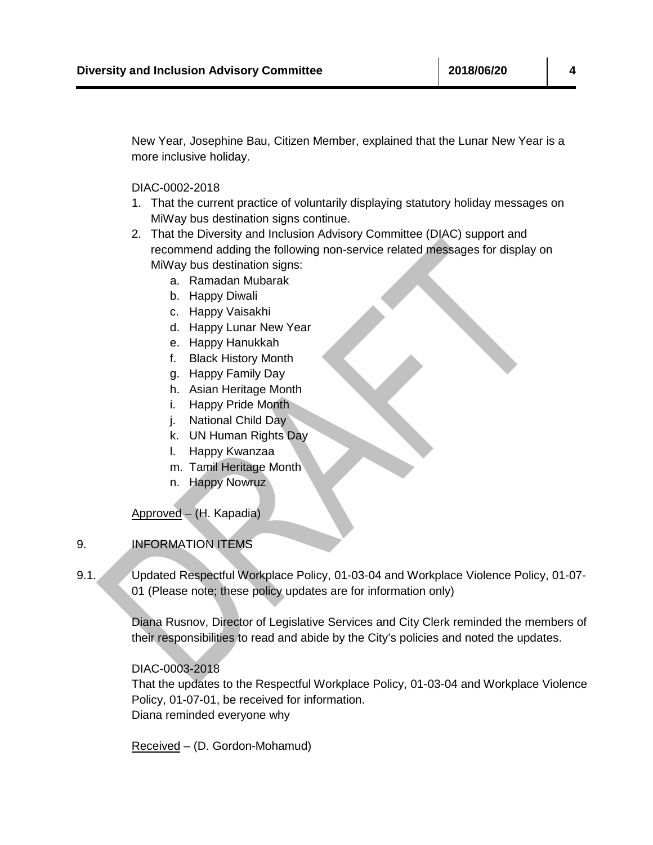New Year, Josephine Bau, Citizen Member, explained that the Lunar New Year is a more inclusive holiday.

DIAC-0002-2018

- 1. That the current practice of voluntarily displaying statutory holiday messages on MiWay bus destination signs continue.
- 2. That the Diversity and Inclusion Advisory Committee (DIAC) support and recommend adding the following non-service related messages for display on MiWay bus destination signs:
	- a. Ramadan Mubarak
	- b. Happy Diwali
	- c. Happy Vaisakhi
	- d. Happy Lunar New Year
	- e. Happy Hanukkah
	- f. Black History Month
	- g. Happy Family Day
	- h. Asian Heritage Month
	- i. Happy Pride Month
	- j. National Child Day
	- k. UN Human Rights Day
	- l. Happy Kwanzaa
	- m. Tamil Heritage Month
	- n. Happy Nowruz

Approved – (H. Kapadia)

# 9. INFORMATION ITEMS

9.1. Updated Respectful Workplace Policy, 01-03-04 and Workplace Violence Policy, 01-07- 01 (Please note; these policy updates are for information only)

> Diana Rusnov, Director of Legislative Services and City Clerk reminded the members of their responsibilities to read and abide by the City's policies and noted the updates.

#### DIAC-0003-2018

That the updates to the Respectful Workplace Policy, 01-03-04 and Workplace Violence Policy, 01-07-01, be received for information. Diana reminded everyone why

Received – (D. Gordon-Mohamud)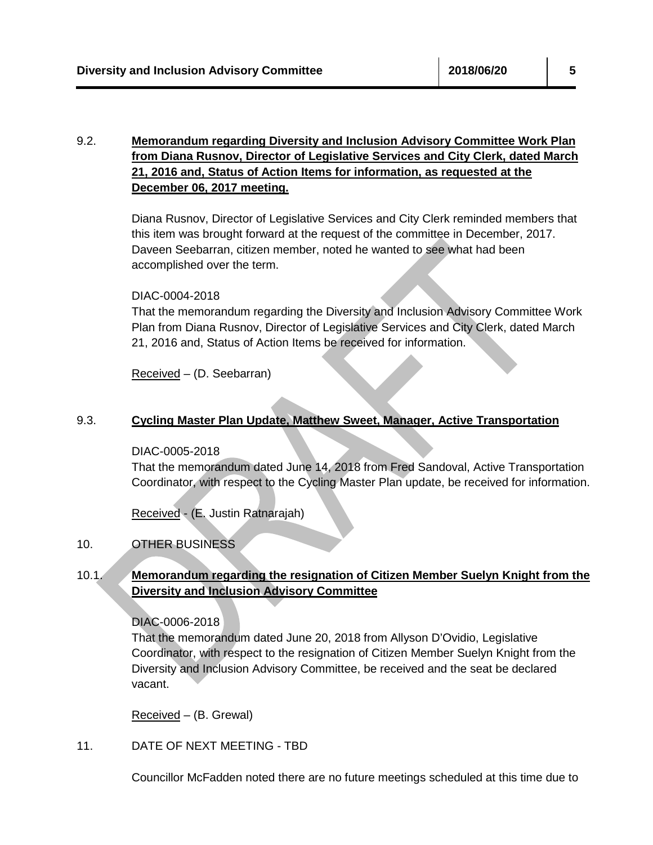# 9.2. **Memorandum regarding Diversity and Inclusion Advisory Committee Work Plan from Diana Rusnov, Director of Legislative Services and City Clerk, dated March 21, 2016 and, Status of Action Items for information, as requested at the December 06, 2017 meeting.**

Diana Rusnov, Director of Legislative Services and City Clerk reminded members that this item was brought forward at the request of the committee in December, 2017. Daveen Seebarran, citizen member, noted he wanted to see what had been accomplished over the term.

### DIAC-0004-2018

That the memorandum regarding the Diversity and Inclusion Advisory Committee Work Plan from Diana Rusnov, Director of Legislative Services and City Clerk, dated March 21, 2016 and, Status of Action Items be received for information.

Received – (D. Seebarran)

# 9.3. **Cycling Master Plan Update, Matthew Sweet, Manager, Active Transportation**

#### DIAC-0005-2018

That the memorandum dated June 14, 2018 from Fred Sandoval, Active Transportation Coordinator, with respect to the Cycling Master Plan update, be received for information.

Received - (E. Justin Ratnarajah)

# 10. OTHER BUSINESS

# 10.1. **Memorandum regarding the resignation of Citizen Member Suelyn Knight from the Diversity and Inclusion Advisory Committee**

DIAC-0006-2018

That the memorandum dated June 20, 2018 from Allyson D'Ovidio, Legislative Coordinator, with respect to the resignation of Citizen Member Suelyn Knight from the Diversity and Inclusion Advisory Committee, be received and the seat be declared vacant.

Received – (B. Grewal)

11. DATE OF NEXT MEETING - TBD

Councillor McFadden noted there are no future meetings scheduled at this time due to